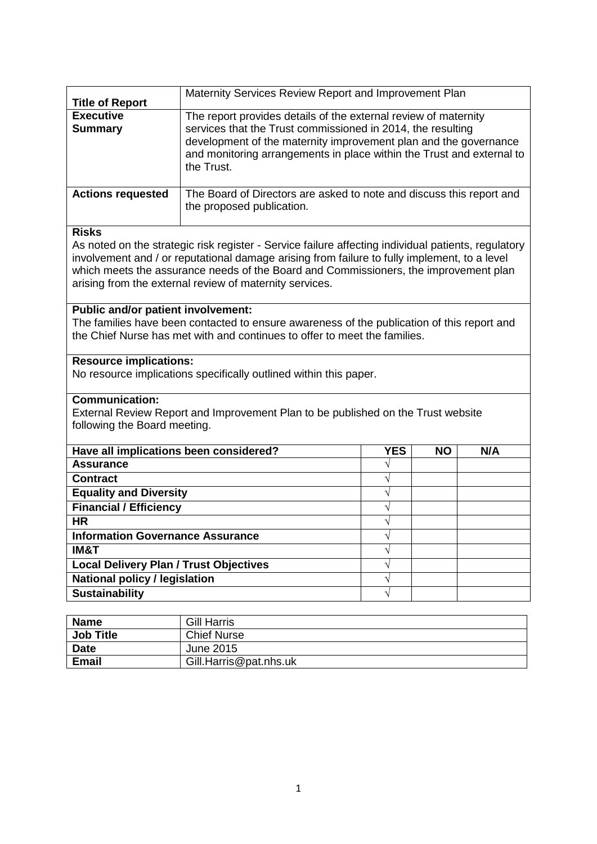| <b>Title of Report</b>                                                                     | Maternity Services Review Report and Improvement Plan                                               |            |           |     |
|--------------------------------------------------------------------------------------------|-----------------------------------------------------------------------------------------------------|------------|-----------|-----|
| <b>Executive</b>                                                                           | The report provides details of the external review of maternity                                     |            |           |     |
| <b>Summary</b>                                                                             | services that the Trust commissioned in 2014, the resulting                                         |            |           |     |
|                                                                                            | development of the maternity improvement plan and the governance                                    |            |           |     |
|                                                                                            | and monitoring arrangements in place within the Trust and external to                               |            |           |     |
|                                                                                            | the Trust.                                                                                          |            |           |     |
| <b>Actions requested</b>                                                                   | The Board of Directors are asked to note and discuss this report and                                |            |           |     |
|                                                                                            | the proposed publication.                                                                           |            |           |     |
| <b>Risks</b>                                                                               |                                                                                                     |            |           |     |
|                                                                                            | As noted on the strategic risk register - Service failure affecting individual patients, regulatory |            |           |     |
|                                                                                            | involvement and / or reputational damage arising from failure to fully implement, to a level        |            |           |     |
|                                                                                            | which meets the assurance needs of the Board and Commissioners, the improvement plan                |            |           |     |
|                                                                                            | arising from the external review of maternity services.                                             |            |           |     |
| <b>Public and/or patient involvement:</b>                                                  |                                                                                                     |            |           |     |
| The families have been contacted to ensure awareness of the publication of this report and |                                                                                                     |            |           |     |
|                                                                                            | the Chief Nurse has met with and continues to offer to meet the families.                           |            |           |     |
| <b>Resource implications:</b>                                                              |                                                                                                     |            |           |     |
|                                                                                            | No resource implications specifically outlined within this paper.                                   |            |           |     |
| <b>Communication:</b>                                                                      |                                                                                                     |            |           |     |
|                                                                                            | External Review Report and Improvement Plan to be published on the Trust website                    |            |           |     |
| following the Board meeting.                                                               |                                                                                                     |            |           |     |
| Have all implications been considered?                                                     |                                                                                                     | <b>YES</b> | <b>NO</b> | N/A |
| <b>Assurance</b>                                                                           |                                                                                                     |            |           |     |
| <b>Contract</b>                                                                            |                                                                                                     | V          |           |     |
| <b>Equality and Diversity</b>                                                              |                                                                                                     | $\sqrt{}$  |           |     |
| <b>Financial / Efficiency</b>                                                              |                                                                                                     | V          |           |     |
| <b>HR</b>                                                                                  |                                                                                                     | $\sqrt{}$  |           |     |
| <b>Information Governance Assurance</b>                                                    |                                                                                                     | V          |           |     |
| IM&T                                                                                       |                                                                                                     | V          |           |     |
| <b>Local Delivery Plan / Trust Objectives</b>                                              |                                                                                                     | V          |           |     |
| <b>National policy / legislation</b>                                                       |                                                                                                     | V          |           |     |
| <b>Sustainability</b>                                                                      |                                                                                                     |            |           |     |
|                                                                                            |                                                                                                     |            |           |     |
| <b>Name</b>                                                                                | <b>Gill Harris</b>                                                                                  |            |           |     |

| <b>Name</b>      | <b>Gill Harris</b>     |
|------------------|------------------------|
| <b>Job Title</b> | <b>Chief Nurse</b>     |
| <b>Date</b>      | June 2015              |
| <b>Email</b>     | Gill.Harris@pat.nhs.uk |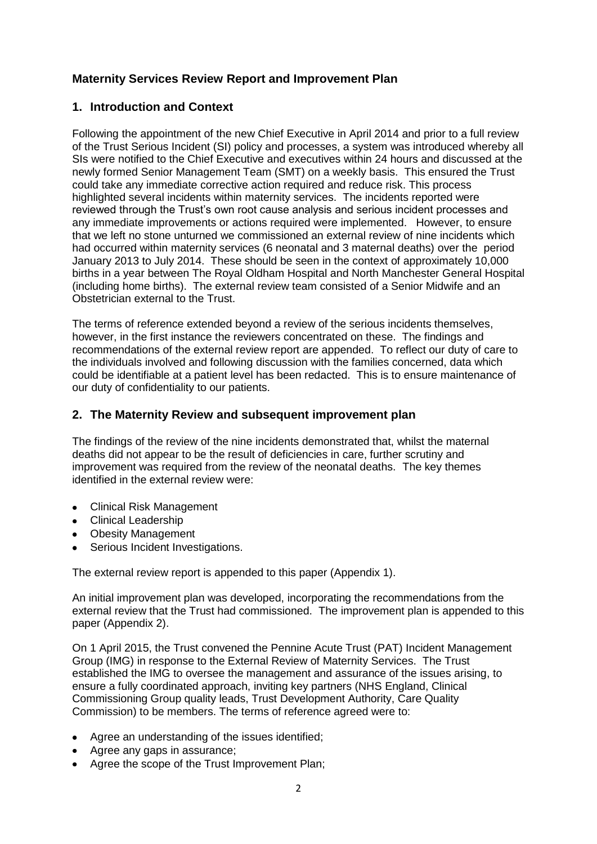# **Maternity Services Review Report and Improvement Plan**

## **1. Introduction and Context**

Following the appointment of the new Chief Executive in April 2014 and prior to a full review of the Trust Serious Incident (SI) policy and processes, a system was introduced whereby all SIs were notified to the Chief Executive and executives within 24 hours and discussed at the newly formed Senior Management Team (SMT) on a weekly basis. This ensured the Trust could take any immediate corrective action required and reduce risk. This process highlighted several incidents within maternity services. The incidents reported were reviewed through the Trust's own root cause analysis and serious incident processes and any immediate improvements or actions required were implemented. However, to ensure that we left no stone unturned we commissioned an external review of nine incidents which had occurred within maternity services (6 neonatal and 3 maternal deaths) over the period January 2013 to July 2014. These should be seen in the context of approximately 10,000 births in a year between The Royal Oldham Hospital and North Manchester General Hospital (including home births). The external review team consisted of a Senior Midwife and an Obstetrician external to the Trust.

The terms of reference extended beyond a review of the serious incidents themselves, however, in the first instance the reviewers concentrated on these. The findings and recommendations of the external review report are appended. To reflect our duty of care to the individuals involved and following discussion with the families concerned, data which could be identifiable at a patient level has been redacted. This is to ensure maintenance of our duty of confidentiality to our patients.

### **2. The Maternity Review and subsequent improvement plan**

The findings of the review of the nine incidents demonstrated that, whilst the maternal deaths did not appear to be the result of deficiencies in care, further scrutiny and improvement was required from the review of the neonatal deaths. The key themes identified in the external review were:

- Clinical Risk Management
- Clinical Leadership
- Obesity Management
- Serious Incident Investigations.

The external review report is appended to this paper (Appendix 1).

An initial improvement plan was developed, incorporating the recommendations from the external review that the Trust had commissioned. The improvement plan is appended to this paper (Appendix 2).

On 1 April 2015, the Trust convened the Pennine Acute Trust (PAT) Incident Management Group (IMG) in response to the External Review of Maternity Services. The Trust established the IMG to oversee the management and assurance of the issues arising, to ensure a fully coordinated approach, inviting key partners (NHS England, Clinical Commissioning Group quality leads, Trust Development Authority, Care Quality Commission) to be members. The terms of reference agreed were to:

- Agree an understanding of the issues identified;
- Agree any gaps in assurance;
- Agree the scope of the Trust Improvement Plan;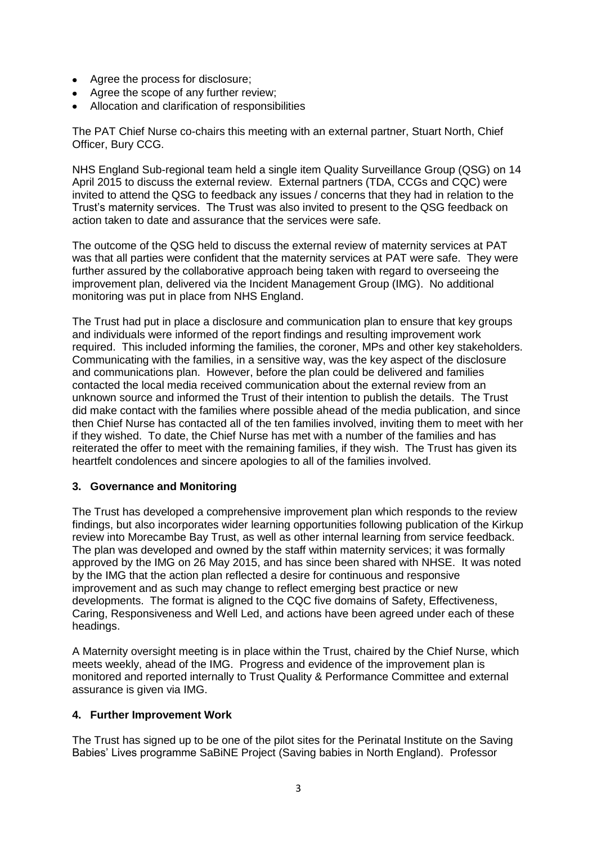- Agree the process for disclosure;
- Agree the scope of any further review;
- Allocation and clarification of responsibilities

The PAT Chief Nurse co-chairs this meeting with an external partner, Stuart North, Chief Officer, Bury CCG.

NHS England Sub-regional team held a single item Quality Surveillance Group (QSG) on 14 April 2015 to discuss the external review. External partners (TDA, CCGs and CQC) were invited to attend the QSG to feedback any issues / concerns that they had in relation to the Trust's maternity services. The Trust was also invited to present to the QSG feedback on action taken to date and assurance that the services were safe.

The outcome of the QSG held to discuss the external review of maternity services at PAT was that all parties were confident that the maternity services at PAT were safe. They were further assured by the collaborative approach being taken with regard to overseeing the improvement plan, delivered via the Incident Management Group (IMG). No additional monitoring was put in place from NHS England.

The Trust had put in place a disclosure and communication plan to ensure that key groups and individuals were informed of the report findings and resulting improvement work required. This included informing the families, the coroner, MPs and other key stakeholders. Communicating with the families, in a sensitive way, was the key aspect of the disclosure and communications plan. However, before the plan could be delivered and families contacted the local media received communication about the external review from an unknown source and informed the Trust of their intention to publish the details. The Trust did make contact with the families where possible ahead of the media publication, and since then Chief Nurse has contacted all of the ten families involved, inviting them to meet with her if they wished. To date, the Chief Nurse has met with a number of the families and has reiterated the offer to meet with the remaining families, if they wish. The Trust has given its heartfelt condolences and sincere apologies to all of the families involved.

### **3. Governance and Monitoring**

The Trust has developed a comprehensive improvement plan which responds to the review findings, but also incorporates wider learning opportunities following publication of the Kirkup review into Morecambe Bay Trust, as well as other internal learning from service feedback. The plan was developed and owned by the staff within maternity services; it was formally approved by the IMG on 26 May 2015, and has since been shared with NHSE. It was noted by the IMG that the action plan reflected a desire for continuous and responsive improvement and as such may change to reflect emerging best practice or new developments. The format is aligned to the CQC five domains of Safety, Effectiveness, Caring, Responsiveness and Well Led, and actions have been agreed under each of these headings.

A Maternity oversight meeting is in place within the Trust, chaired by the Chief Nurse, which meets weekly, ahead of the IMG. Progress and evidence of the improvement plan is monitored and reported internally to Trust Quality & Performance Committee and external assurance is given via IMG.

### **4. Further Improvement Work**

The Trust has signed up to be one of the pilot sites for the Perinatal Institute on the Saving Babies' Lives programme SaBiNE Project (Saving babies in North England). Professor